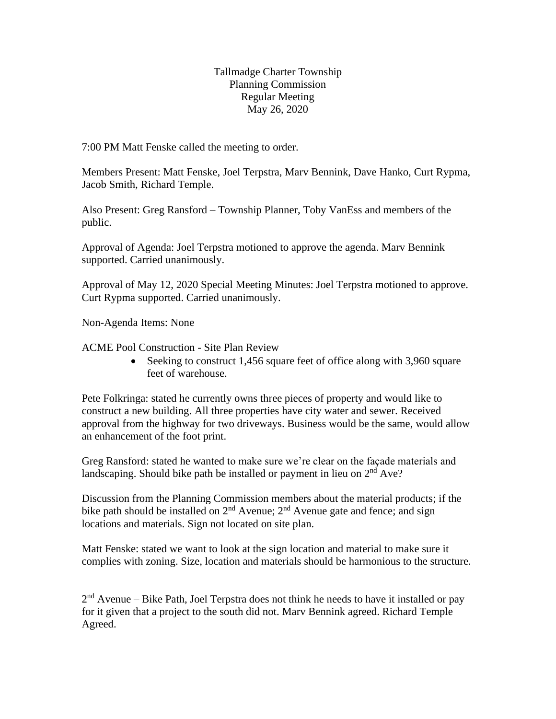Tallmadge Charter Township Planning Commission Regular Meeting May 26, 2020

7:00 PM Matt Fenske called the meeting to order.

Members Present: Matt Fenske, Joel Terpstra, Marv Bennink, Dave Hanko, Curt Rypma, Jacob Smith, Richard Temple.

Also Present: Greg Ransford – Township Planner, Toby VanEss and members of the public.

Approval of Agenda: Joel Terpstra motioned to approve the agenda. Marv Bennink supported. Carried unanimously.

Approval of May 12, 2020 Special Meeting Minutes: Joel Terpstra motioned to approve. Curt Rypma supported. Carried unanimously.

Non-Agenda Items: None

ACME Pool Construction - Site Plan Review

• Seeking to construct 1,456 square feet of office along with 3,960 square feet of warehouse.

Pete Folkringa: stated he currently owns three pieces of property and would like to construct a new building. All three properties have city water and sewer. Received approval from the highway for two driveways. Business would be the same, would allow an enhancement of the foot print.

Greg Ransford: stated he wanted to make sure we're clear on the façade materials and landscaping. Should bike path be installed or payment in lieu on  $2<sup>nd</sup> Ave$ ?

Discussion from the Planning Commission members about the material products; if the bike path should be installed on  $2<sup>nd</sup>$  Avenue;  $2<sup>nd</sup>$  Avenue gate and fence; and sign locations and materials. Sign not located on site plan.

Matt Fenske: stated we want to look at the sign location and material to make sure it complies with zoning. Size, location and materials should be harmonious to the structure.

 $2<sup>nd</sup>$  Avenue – Bike Path, Joel Terpstra does not think he needs to have it installed or pay for it given that a project to the south did not. Marv Bennink agreed. Richard Temple Agreed.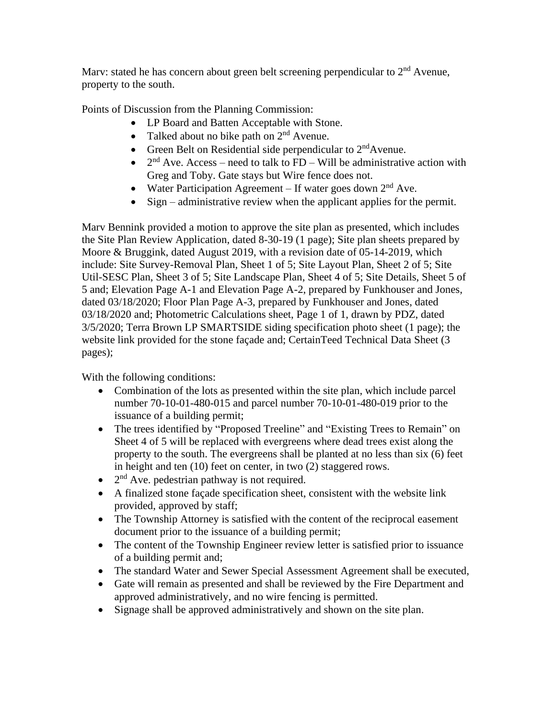Marv: stated he has concern about green belt screening perpendicular to  $2<sup>nd</sup>$  Avenue, property to the south.

Points of Discussion from the Planning Commission:

- LP Board and Batten Acceptable with Stone.
- Talked about no bike path on  $2<sup>nd</sup>$  Avenue.
- Green Belt on Residential side perpendicular to  $2<sup>nd</sup>$  Avenue.
- $2<sup>nd</sup>$  Ave. Access need to talk to FD Will be administrative action with Greg and Toby. Gate stays but Wire fence does not.
- Water Participation Agreement If water goes down  $2<sup>nd</sup>$  Ave.
- Sign administrative review when the applicant applies for the permit.

Marv Bennink provided a motion to approve the site plan as presented, which includes the Site Plan Review Application, dated 8-30-19 (1 page); Site plan sheets prepared by Moore & Bruggink, dated August 2019, with a revision date of 05-14-2019, which include: Site Survey-Removal Plan, Sheet 1 of 5; Site Layout Plan, Sheet 2 of 5; Site Util-SESC Plan, Sheet 3 of 5; Site Landscape Plan, Sheet 4 of 5; Site Details, Sheet 5 of 5 and; Elevation Page A-1 and Elevation Page A-2, prepared by Funkhouser and Jones, dated 03/18/2020; Floor Plan Page A-3, prepared by Funkhouser and Jones, dated 03/18/2020 and; Photometric Calculations sheet, Page 1 of 1, drawn by PDZ, dated 3/5/2020; Terra Brown LP SMARTSIDE siding specification photo sheet (1 page); the website link provided for the stone façade and; CertainTeed Technical Data Sheet (3 pages);

With the following conditions:

- Combination of the lots as presented within the site plan, which include parcel number 70-10-01-480-015 and parcel number 70-10-01-480-019 prior to the issuance of a building permit;
- The trees identified by "Proposed Treeline" and "Existing Trees to Remain" on Sheet 4 of 5 will be replaced with evergreens where dead trees exist along the property to the south. The evergreens shall be planted at no less than six (6) feet in height and ten (10) feet on center, in two (2) staggered rows.
- $\bullet$  2<sup>nd</sup> Ave. pedestrian pathway is not required.
- A finalized stone façade specification sheet, consistent with the website link provided, approved by staff;
- The Township Attorney is satisfied with the content of the reciprocal easement document prior to the issuance of a building permit;
- The content of the Township Engineer review letter is satisfied prior to issuance of a building permit and;
- The standard Water and Sewer Special Assessment Agreement shall be executed,
- Gate will remain as presented and shall be reviewed by the Fire Department and approved administratively, and no wire fencing is permitted.
- Signage shall be approved administratively and shown on the site plan.